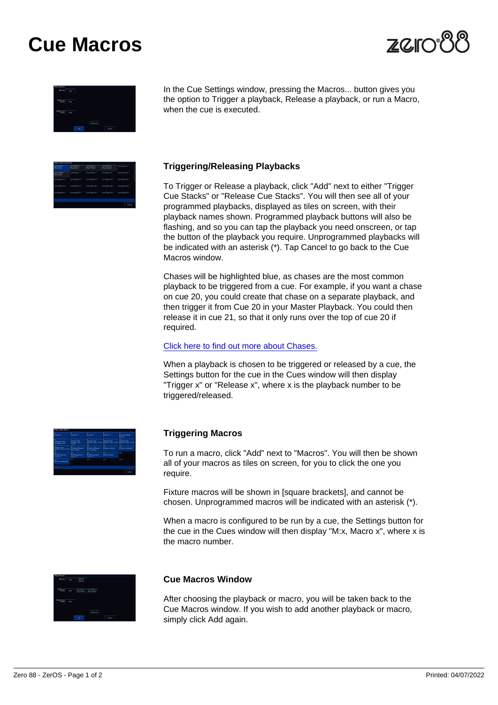# Cue Macros

In the Cue Settings window, pressing the Macros... button gives you the option to Trigger a playback, Release a playback, or run a Macro, when the cue is executed.

Triggering/Releasing Playbacks

To Trigger or Release a playback, click "Add" next to either "Trigger Cue Stacks" or "Release Cue Stacks". You will then see all of your programmed playbacks, displayed as tiles on screen, with their playback names shown. Programmed playback buttons will also be flashing, and so you can tap the playback you need onscreen, or tap the button of the playback you require. Unprogrammed playbacks will be indicated with an asterisk (\*). Tap Cancel to go back to the Cue Macros window.

Chases will be highlighted blue, as chases are the most common playback to be triggered from a cue. For example, if you want a chase on cue 20, you could create that chase on a separate playback, and then trigger it from Cue 20 in your Master Playback. You could then release it in cue 21, so that it only runs over the top of cue 20 if required.

#### [Click here to find out more about Chases.](/manuals/zeros/cues-playbacks/chases)

When a playback is chosen to be triggered or released by a cue, the Settings button for the cue in the Cues window will then display "Trigger x" or "Release x", where x is the playback number to be triggered/released.

#### Triggering Macros

To run a macro, click "Add" next to "Macros". You will then be shown all of your macros as tiles on screen, for you to click the one you require.

Fixture macros will be shown in [square brackets], and cannot be chosen. Unprogrammed macros will be indicated with an asterisk (\*).

When a macro is configured to be run by a cue, the Settings button for the cue in the Cues window will then display "M:x, Macro x", where x is the macro number.

### Cue Macros Window

After choosing the playback or macro, you will be taken back to the Cue Macros window. If you wish to add another playback or macro, simply click Add again.